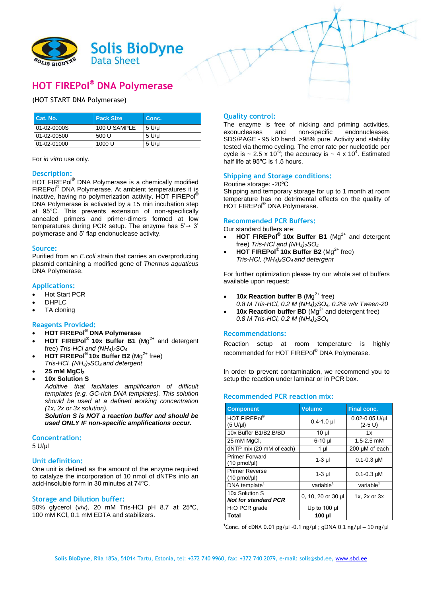

# **HOT FIREPol® DNA Polymerase**

## (HOT START DNA Polymerase)

| Cat. No.    | <b>Pack Size</b> | Conc.    |
|-------------|------------------|----------|
| 01-02-0000S | 100 U SAMPLE     | 5 U/ul   |
| 01-02-00500 | 500 U            | $5$ U/ul |
| 01-02-01000 | 1000 U           | 5 U/ul   |

For *in vitro* use only.

## **Description:**

HOT FIREPol® DNA Polymerase is a chemically modified FIREPol® DNA Polymerase. At ambient temperatures it is inactive, having no polymerization activity. HOT FIREPol<sup>®</sup> DNA Polymerase is activated by a 15 min incubation step at 95°C. This prevents extension of non-specifically annealed primers and primer-dimers formed at low temperatures during PCR setup. The enzyme has  $5' \rightarrow 3'$ polymerase and 5' flap endonuclease activity.

#### **Source:**

Purified from an *E.coli* strain that carries an overproducing plasmid containing a modified gene of *Thermus aquaticus* DNA Polymerase.

#### **Applications:**

- Hot Start PCR
- DHPLC
- TA cloning

## **Reagents Provided:**

- **HOT FIREPol® DNA Polymerase**
- HOT FIREPol<sup>®</sup> 10x Buffer B1 (Mg<sup>2+</sup> and detergent free) *Tris-HCl and (NH4)2SO<sup>4</sup>*
- **HOT FIREPol**<sup>®</sup> 10x Buffer B2 (Mg<sup>2+</sup> free) *Tris-HCl, (NH4)2SO<sup>4</sup> and detergent*
- **25 mM MgCl<sup>2</sup> 10x Solution S**
- *Additive that facilitates amplification of difficult templates (e.g. GC-rich DNA templates). This solution should be used at a defined working concentration (1x, 2x or 3x solution).*

*Solution S is NOT a reaction buffer and should be used ONLY IF non-specific amplifications occur.*

## **Concentration:**

5 U/µl

#### **Unit definition:**

One unit is defined as the amount of the enzyme required to catalyze the incorporation of 10 nmol of dNTPs into an acid-insoluble form in 30 minutes at 74ºC.

#### **Storage and Dilution buffer:**

50% glycerol (v/v), 20 mM Tris-HCl pH 8.7 at 25ºC, 100 mM KCl, 0.1 mM EDTA and stabilizers.

## **Quality control:**

The enzyme is free of nicking and priming activities,<br>exonucleases and non-specific endonucleases. endonucleases. SDS/PAGE - 95 kD band, >98% pure. Activity and stability tested via thermo cycling. The error rate per nucleotide per cycle is  $\sim$  2.5 x 10<sup>-5</sup>; the accuracy is  $\sim$  4 x 10<sup>4</sup>. Estimated half life at 95ºC is 1.5 hours.

#### **Shipping and Storage conditions:**

#### Routine storage: -20ºC

Shipping and temporary storage for up to 1 month at room temperature has no detrimental effects on the quality of HOT FIREPol® DNA Polymerase.

#### **Recommended PCR Buffers:**

Our standard buffers are:

- HOT FIREPol<sup>®</sup> 10x Buffer B1 (Mg<sup>2+</sup> and detergent free) *Tris-HCl and (NH4)2SO<sup>4</sup>*
- HOT FIREPol<sup>®</sup> 10x Buffer B2 (Mg<sup>2+</sup> free) *Tris-HCl, (NH4)2SO<sup>4</sup> and detergent*

For further optimization please try our whole set of buffers available upon request:

- **10x Reaction buffer B** ( $Mg^{2+}$  free)
- *0.8 M Tris-HCl, 0.2 M (NH4)2SO4, 0.2% w/v Tween-20* **10x Reaction buffer BD** ( $Mg^{2+}$  and detergent free)
- *0.8 M Tris-HCl, 0.2 M (NH4)2SO<sup>4</sup>*

#### **Recommendations:**

Reaction setup at room temperature is highly recommended for HOT FIREPol® DNA Polymerase.

In order to prevent contamination, we recommend you to setup the reaction under laminar or in PCR box.

#### **Recommended PCR reaction mix:**

| <b>Component</b>                                   | <b>Volume</b>         | <b>Final conc.</b>              |
|----------------------------------------------------|-----------------------|---------------------------------|
| HOT FIREPol®<br>$(5 U/\mu l)$                      | $0.4 - 1.0$ µl        | $0.02 - 0.05$ U/ul<br>$(2-5 U)$ |
| 10x Buffer B1/B2, B/BD                             | 10 µl                 | 1x                              |
| 25 mM MgCl <sub>2</sub>                            | 6-10 µl               | $1.5 - 2.5$ mM                  |
| dNTP mix (20 mM of each)                           | 1 µl                  | 200 µM of each                  |
| <b>Primer Forward</b><br>$(10 \text{ pmol/}\mu l)$ | 1-3 µl                | $0.1 - 0.3$ µM                  |
| <b>Primer Reverse</b><br>$(10 \text{ pmol/}\mu l)$ | $1-3$ µl              | $0.1 - 0.3$ µM                  |
| DNA template <sup>1</sup>                          | variable <sup>1</sup> | variable <sup>1</sup>           |
| 10x Solution S<br><b>Not for standard PCR</b>      | 0, 10, 20 or 30 µl    | $1x.2x$ or $3x$                 |
| $H2O$ PCR grade                                    | Up to $100$ µ         |                                 |
| Total                                              | 100 µl                |                                 |

**1** Conc. of cDNA 0.01 pg/µl -0.1 ng/µl ; gDNA 0.1 ng/µl – 10 ng/µl